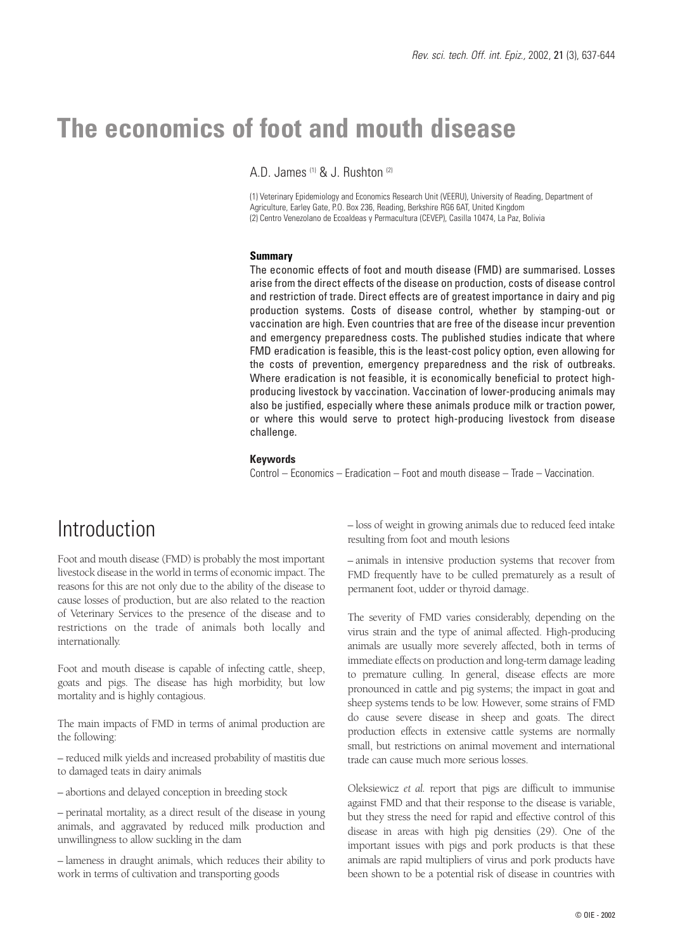# **The economics of foot and mouth disease**

A.D. James (1) & J. Rushton (2)

(1) Veterinary Epidemiology and Economics Research Unit (VEERU), University of Reading, Department of Agriculture, Earley Gate, P.O. Box 236, Reading, Berkshire RG6 6AT, United Kingdom (2) Centro Venezolano de Ecoaldeas y Permacultura (CEVEP), Casilla 10474, La Paz, Bolivia

#### **Summary**

The economic effects of foot and mouth disease (FMD) are summarised. Losses arise from the direct effects of the disease on production, costs of disease control and restriction of trade. Direct effects are of greatest importance in dairy and pig production systems. Costs of disease control, whether by stamping-out or vaccination are high. Even countries that are free of the disease incur prevention and emergency preparedness costs. The published studies indicate that where FMD eradication is feasible, this is the least-cost policy option, even allowing for the costs of prevention, emergency preparedness and the risk of outbreaks. Where eradication is not feasible, it is economically beneficial to protect highproducing livestock by vaccination. Vaccination of lower-producing animals may also be justified, especially where these animals produce milk or traction power, or where this would serve to protect high-producing livestock from disease challenge.

#### **Keywords**

Control – Economics – Eradication – Foot and mouth disease – Trade – Vaccination.

# **Introduction**

Foot and mouth disease (FMD) is probably the most important livestock disease in the world in terms of economic impact. The reasons for this are not only due to the ability of the disease to cause losses of production, but are also related to the reaction of Veterinary Services to the presence of the disease and to restrictions on the trade of animals both locally and internationally.

Foot and mouth disease is capable of infecting cattle, sheep, goats and pigs. The disease has high morbidity, but low mortality and is highly contagious.

The main impacts of FMD in terms of animal production are the following:

– reduced milk yields and increased probability of mastitis due to damaged teats in dairy animals

– abortions and delayed conception in breeding stock

– perinatal mortality, as a direct result of the disease in young animals, and aggravated by reduced milk production and unwillingness to allow suckling in the dam

– lameness in draught animals, which reduces their ability to work in terms of cultivation and transporting goods

– loss of weight in growing animals due to reduced feed intake resulting from foot and mouth lesions

– animals in intensive production systems that recover from FMD frequently have to be culled prematurely as a result of permanent foot, udder or thyroid damage.

The severity of FMD varies considerably, depending on the virus strain and the type of animal affected. High-producing animals are usually more severely affected, both in terms of immediate effects on production and long-term damage leading to premature culling. In general, disease effects are more pronounced in cattle and pig systems; the impact in goat and sheep systems tends to be low. However, some strains of FMD do cause severe disease in sheep and goats. The direct production effects in extensive cattle systems are normally small, but restrictions on animal movement and international trade can cause much more serious losses.

Oleksiewicz *et al.* report that pigs are difficult to immunise against FMD and that their response to the disease is variable, but they stress the need for rapid and effective control of this disease in areas with high pig densities (29). One of the important issues with pigs and pork products is that these animals are rapid multipliers of virus and pork products have been shown to be a potential risk of disease in countries with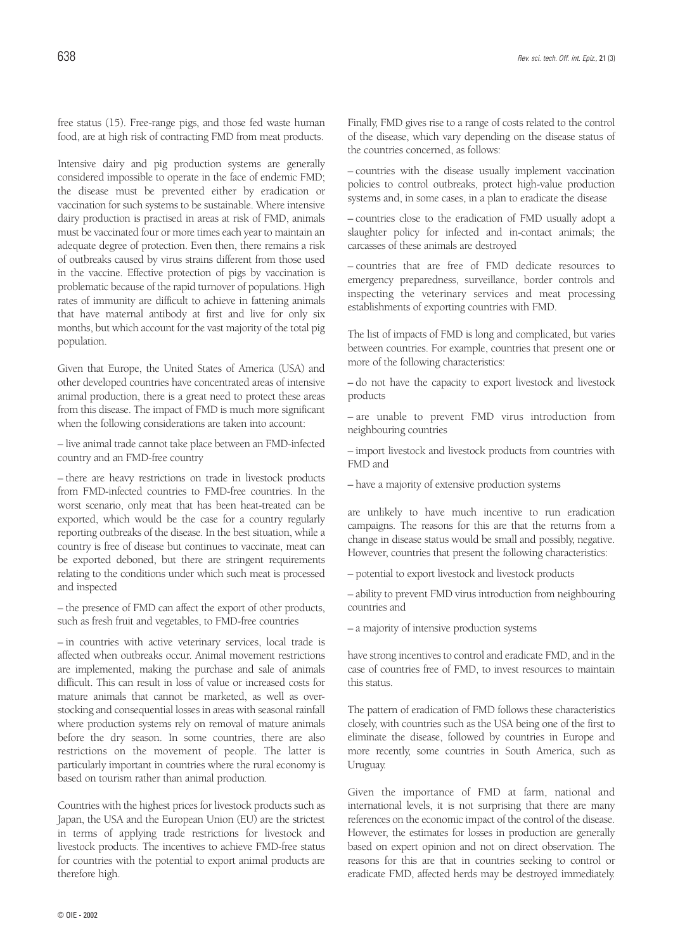free status (15). Free-range pigs, and those fed waste human food, are at high risk of contracting FMD from meat products.

Intensive dairy and pig production systems are generally considered impossible to operate in the face of endemic FMD; the disease must be prevented either by eradication or vaccination for such systems to be sustainable. Where intensive dairy production is practised in areas at risk of FMD, animals must be vaccinated four or more times each year to maintain an adequate degree of protection. Even then, there remains a risk of outbreaks caused by virus strains different from those used in the vaccine. Effective protection of pigs by vaccination is problematic because of the rapid turnover of populations. High rates of immunity are difficult to achieve in fattening animals that have maternal antibody at first and live for only six months, but which account for the vast majority of the total pig population.

Given that Europe, the United States of America (USA) and other developed countries have concentrated areas of intensive animal production, there is a great need to protect these areas from this disease. The impact of FMD is much more significant when the following considerations are taken into account:

– live animal trade cannot take place between an FMD-infected country and an FMD-free country

– there are heavy restrictions on trade in livestock products from FMD-infected countries to FMD-free countries. In the worst scenario, only meat that has been heat-treated can be exported, which would be the case for a country regularly reporting outbreaks of the disease. In the best situation, while a country is free of disease but continues to vaccinate, meat can be exported deboned, but there are stringent requirements relating to the conditions under which such meat is processed and inspected

– the presence of FMD can affect the export of other products, such as fresh fruit and vegetables, to FMD-free countries

– in countries with active veterinary services, local trade is affected when outbreaks occur. Animal movement restrictions are implemented, making the purchase and sale of animals difficult. This can result in loss of value or increased costs for mature animals that cannot be marketed, as well as overstocking and consequential losses in areas with seasonal rainfall where production systems rely on removal of mature animals before the dry season. In some countries, there are also restrictions on the movement of people. The latter is particularly important in countries where the rural economy is based on tourism rather than animal production.

Countries with the highest prices for livestock products such as Japan, the USA and the European Union (EU) are the strictest in terms of applying trade restrictions for livestock and livestock products. The incentives to achieve FMD-free status for countries with the potential to export animal products are therefore high.

Finally, FMD gives rise to a range of costs related to the control of the disease, which vary depending on the disease status of the countries concerned, as follows:

– countries with the disease usually implement vaccination policies to control outbreaks, protect high-value production systems and, in some cases, in a plan to eradicate the disease

– countries close to the eradication of FMD usually adopt a slaughter policy for infected and in-contact animals; the carcasses of these animals are destroyed

– countries that are free of FMD dedicate resources to emergency preparedness, surveillance, border controls and inspecting the veterinary services and meat processing establishments of exporting countries with FMD.

The list of impacts of FMD is long and complicated, but varies between countries. For example, countries that present one or more of the following characteristics:

– do not have the capacity to export livestock and livestock products

– are unable to prevent FMD virus introduction from neighbouring countries

– import livestock and livestock products from countries with FMD and

– have a majority of extensive production systems

are unlikely to have much incentive to run eradication campaigns. The reasons for this are that the returns from a change in disease status would be small and possibly, negative. However, countries that present the following characteristics:

– potential to export livestock and livestock products

– ability to prevent FMD virus introduction from neighbouring countries and

– a majority of intensive production systems

have strong incentives to control and eradicate FMD, and in the case of countries free of FMD, to invest resources to maintain this status.

The pattern of eradication of FMD follows these characteristics closely, with countries such as the USA being one of the first to eliminate the disease, followed by countries in Europe and more recently, some countries in South America, such as Uruguay.

Given the importance of FMD at farm, national and international levels, it is not surprising that there are many references on the economic impact of the control of the disease. However, the estimates for losses in production are generally based on expert opinion and not on direct observation. The reasons for this are that in countries seeking to control or eradicate FMD, affected herds may be destroyed immediately.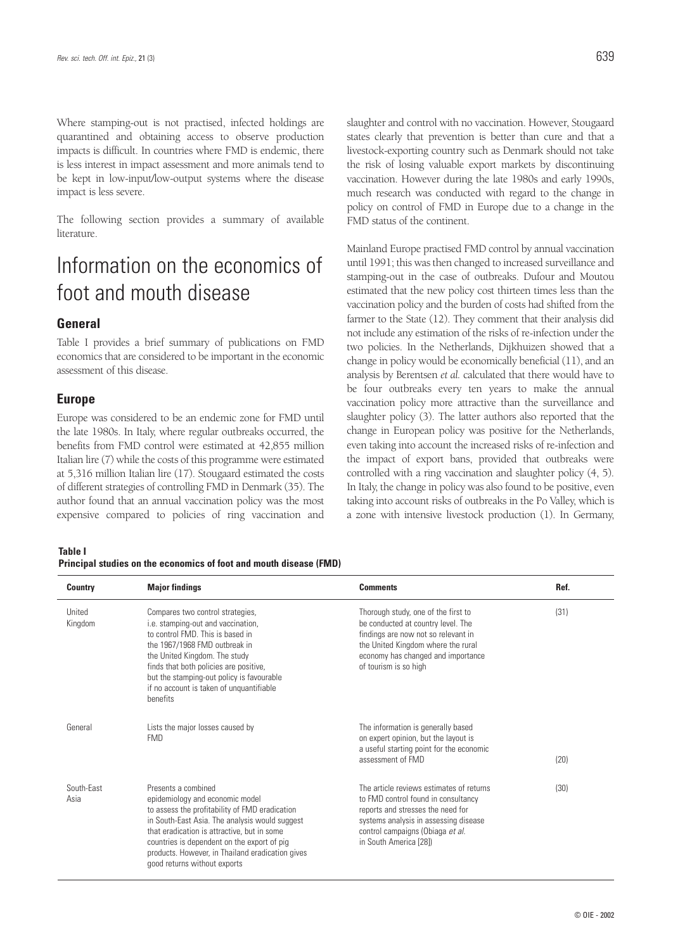Where stamping-out is not practised, infected holdings are quarantined and obtaining access to observe production impacts is difficult. In countries where FMD is endemic, there is less interest in impact assessment and more animals tend to be kept in low-input/low-output systems where the disease impact is less severe.

The following section provides a summary of available literature.

# Information on the economics of foot and mouth disease

#### **General**

Table I provides a brief summary of publications on FMD economics that are considered to be important in the economic assessment of this disease.

#### **Europe**

Europe was considered to be an endemic zone for FMD until the late 1980s. In Italy, where regular outbreaks occurred, the benefits from FMD control were estimated at 42,855 million Italian lire (7) while the costs of this programme were estimated at 5,316 million Italian lire (17). Stougaard estimated the costs of different strategies of controlling FMD in Denmark (35). The author found that an annual vaccination policy was the most expensive compared to policies of ring vaccination and

**Table I**

**Principal studies on the economics of foot and mouth disease (FMD)**

slaughter and control with no vaccination. However, Stougaard states clearly that prevention is better than cure and that a livestock-exporting country such as Denmark should not take the risk of losing valuable export markets by discontinuing vaccination. However during the late 1980s and early 1990s, much research was conducted with regard to the change in policy on control of FMD in Europe due to a change in the FMD status of the continent.

Mainland Europe practised FMD control by annual vaccination until 1991; this was then changed to increased surveillance and stamping-out in the case of outbreaks. Dufour and Moutou estimated that the new policy cost thirteen times less than the vaccination policy and the burden of costs had shifted from the farmer to the State (12). They comment that their analysis did not include any estimation of the risks of re-infection under the two policies. In the Netherlands, Dijkhuizen showed that a change in policy would be economically beneficial (11), and an analysis by Berentsen *et al.* calculated that there would have to be four outbreaks every ten years to make the annual vaccination policy more attractive than the surveillance and slaughter policy (3). The latter authors also reported that the change in European policy was positive for the Netherlands, even taking into account the increased risks of re-infection and the impact of export bans, provided that outbreaks were controlled with a ring vaccination and slaughter policy (4, 5). In Italy, the change in policy was also found to be positive, even taking into account risks of outbreaks in the Po Valley, which is a zone with intensive livestock production (1). In Germany,

| <b>Country</b>     | <b>Major findings</b>                                                                                                                                                                                                                                                                                                                        | <b>Comments</b>                                                                                                                                                                                                             | Ref. |
|--------------------|----------------------------------------------------------------------------------------------------------------------------------------------------------------------------------------------------------------------------------------------------------------------------------------------------------------------------------------------|-----------------------------------------------------------------------------------------------------------------------------------------------------------------------------------------------------------------------------|------|
| United<br>Kingdom  | Compares two control strategies,<br>i.e. stamping-out and vaccination,<br>to control FMD. This is based in<br>the 1967/1968 FMD outbreak in<br>the United Kingdom. The study<br>finds that both policies are positive,<br>but the stamping-out policy is favourable<br>if no account is taken of unquantifiable<br>benefits                  | Thorough study, one of the first to<br>be conducted at country level. The<br>findings are now not so relevant in<br>the United Kingdom where the rural<br>economy has changed and importance<br>of tourism is so high       | (31) |
| General            | Lists the major losses caused by<br><b>FMD</b>                                                                                                                                                                                                                                                                                               | The information is generally based<br>on expert opinion, but the layout is<br>a useful starting point for the economic<br>assessment of FMD                                                                                 | (20) |
| South-East<br>Asia | Presents a combined<br>epidemiology and economic model<br>to assess the profitability of FMD eradication<br>in South-East Asia. The analysis would suggest<br>that eradication is attractive, but in some<br>countries is dependent on the export of pig<br>products. However, in Thailand eradication gives<br>good returns without exports | The article reviews estimates of returns<br>to FMD control found in consultancy<br>reports and stresses the need for<br>systems analysis in assessing disease<br>control campaigns (Obiaga et al.<br>in South America [28]) | (30) |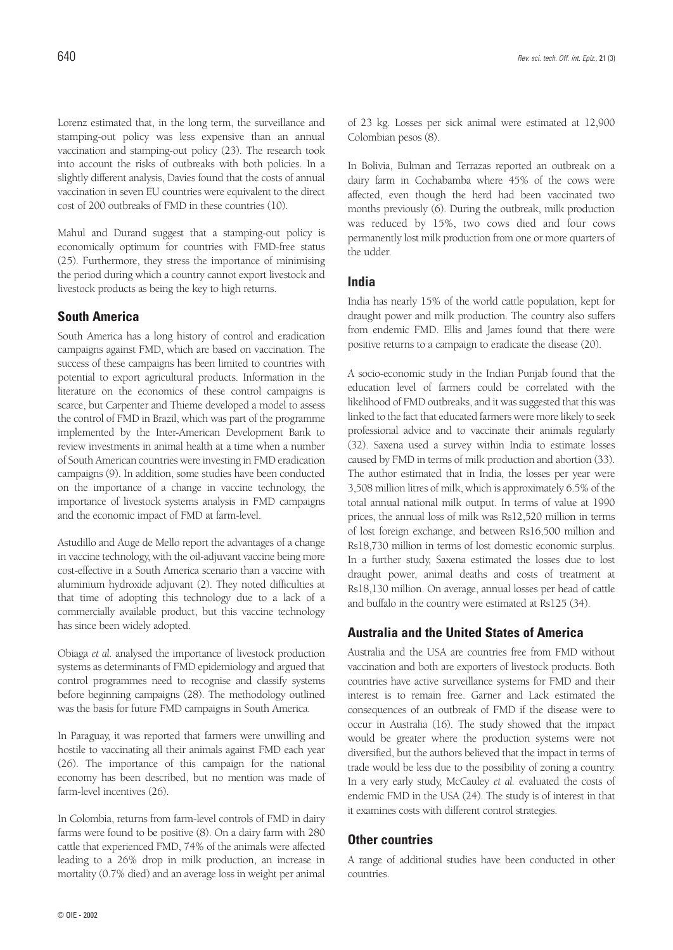Lorenz estimated that, in the long term, the surveillance and stamping-out policy was less expensive than an annual vaccination and stamping-out policy (23). The research took into account the risks of outbreaks with both policies. In a slightly different analysis, Davies found that the costs of annual vaccination in seven EU countries were equivalent to the direct cost of 200 outbreaks of FMD in these countries (10).

Mahul and Durand suggest that a stamping-out policy is economically optimum for countries with FMD-free status (25). Furthermore, they stress the importance of minimising the period during which a country cannot export livestock and livestock products as being the key to high returns.

#### **South America**

South America has a long history of control and eradication campaigns against FMD, which are based on vaccination. The success of these campaigns has been limited to countries with potential to export agricultural products. Information in the literature on the economics of these control campaigns is scarce, but Carpenter and Thieme developed a model to assess the control of FMD in Brazil, which was part of the programme implemented by the Inter-American Development Bank to review investments in animal health at a time when a number of South American countries were investing in FMD eradication campaigns (9). In addition, some studies have been conducted on the importance of a change in vaccine technology, the importance of livestock systems analysis in FMD campaigns and the economic impact of FMD at farm-level.

Astudillo and Auge de Mello report the advantages of a change in vaccine technology, with the oil-adjuvant vaccine being more cost-effective in a South America scenario than a vaccine with aluminium hydroxide adjuvant (2). They noted difficulties at that time of adopting this technology due to a lack of a commercially available product, but this vaccine technology has since been widely adopted.

Obiaga *et al.* analysed the importance of livestock production systems as determinants of FMD epidemiology and argued that control programmes need to recognise and classify systems before beginning campaigns (28). The methodology outlined was the basis for future FMD campaigns in South America.

In Paraguay, it was reported that farmers were unwilling and hostile to vaccinating all their animals against FMD each year (26). The importance of this campaign for the national economy has been described, but no mention was made of farm-level incentives (26).

In Colombia, returns from farm-level controls of FMD in dairy farms were found to be positive (8). On a dairy farm with 280 cattle that experienced FMD, 74% of the animals were affected leading to a 26% drop in milk production, an increase in mortality (0.7% died) and an average loss in weight per animal of 23 kg. Losses per sick animal were estimated at 12,900 Colombian pesos (8).

In Bolivia, Bulman and Terrazas reported an outbreak on a dairy farm in Cochabamba where 45% of the cows were affected, even though the herd had been vaccinated two months previously (6). During the outbreak, milk production was reduced by 15%, two cows died and four cows permanently lost milk production from one or more quarters of the udder.

#### **India**

India has nearly 15% of the world cattle population, kept for draught power and milk production. The country also suffers from endemic FMD. Ellis and James found that there were positive returns to a campaign to eradicate the disease (20).

A socio-economic study in the Indian Punjab found that the education level of farmers could be correlated with the likelihood of FMD outbreaks, and it was suggested that this was linked to the fact that educated farmers were more likely to seek professional advice and to vaccinate their animals regularly (32). Saxena used a survey within India to estimate losses caused by FMD in terms of milk production and abortion (33). The author estimated that in India, the losses per year were 3,508 million litres of milk, which is approximately 6.5% of the total annual national milk output. In terms of value at 1990 prices, the annual loss of milk was Rs12,520 million in terms of lost foreign exchange, and between Rs16,500 million and Rs18,730 million in terms of lost domestic economic surplus. In a further study, Saxena estimated the losses due to lost draught power, animal deaths and costs of treatment at Rs18,130 million. On average, annual losses per head of cattle and buffalo in the country were estimated at Rs125 (34).

#### **Australia and the United States of America**

Australia and the USA are countries free from FMD without vaccination and both are exporters of livestock products. Both countries have active surveillance systems for FMD and their interest is to remain free. Garner and Lack estimated the consequences of an outbreak of FMD if the disease were to occur in Australia (16). The study showed that the impact would be greater where the production systems were not diversified, but the authors believed that the impact in terms of trade would be less due to the possibility of zoning a country. In a very early study, McCauley *et al.* evaluated the costs of endemic FMD in the USA (24). The study is of interest in that it examines costs with different control strategies.

#### **Other countries**

A range of additional studies have been conducted in other countries.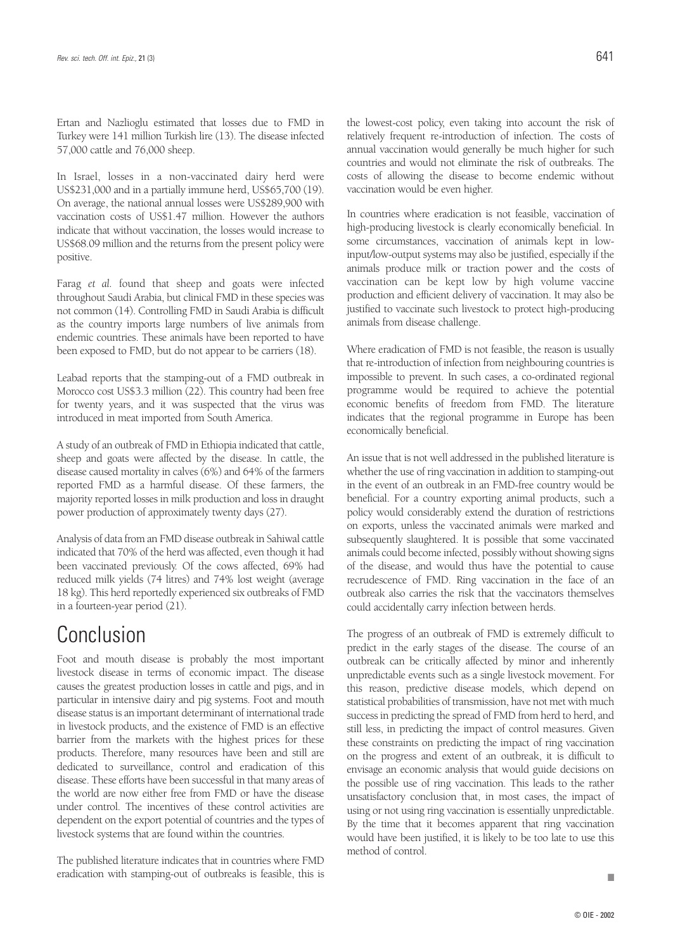Ertan and Nazlioglu estimated that losses due to FMD in Turkey were 141 million Turkish lire (13). The disease infected 57,000 cattle and 76,000 sheep.

In Israel, losses in a non-vaccinated dairy herd were US\$231,000 and in a partially immune herd, US\$65,700 (19). On average, the national annual losses were US\$289,900 with vaccination costs of US\$1.47 million. However the authors indicate that without vaccination, the losses would increase to US\$68.09 million and the returns from the present policy were positive.

Farag *et al.* found that sheep and goats were infected throughout Saudi Arabia, but clinical FMD in these species was not common (14). Controlling FMD in Saudi Arabia is difficult as the country imports large numbers of live animals from endemic countries. These animals have been reported to have been exposed to FMD, but do not appear to be carriers (18).

Leabad reports that the stamping-out of a FMD outbreak in Morocco cost US\$3.3 million (22). This country had been free for twenty years, and it was suspected that the virus was introduced in meat imported from South America.

A study of an outbreak of FMD in Ethiopia indicated that cattle, sheep and goats were affected by the disease. In cattle, the disease caused mortality in calves (6%) and 64% of the farmers reported FMD as a harmful disease. Of these farmers, the majority reported losses in milk production and loss in draught power production of approximately twenty days (27).

Analysis of data from an FMD disease outbreak in Sahiwal cattle indicated that 70% of the herd was affected, even though it had been vaccinated previously. Of the cows affected, 69% had reduced milk yields (74 litres) and 74% lost weight (average 18 kg). This herd reportedly experienced six outbreaks of FMD in a fourteen-year period (21).

# Conclusion

Foot and mouth disease is probably the most important livestock disease in terms of economic impact. The disease causes the greatest production losses in cattle and pigs, and in particular in intensive dairy and pig systems. Foot and mouth disease status is an important determinant of international trade in livestock products, and the existence of FMD is an effective barrier from the markets with the highest prices for these products. Therefore, many resources have been and still are dedicated to surveillance, control and eradication of this disease. These efforts have been successful in that many areas of the world are now either free from FMD or have the disease under control. The incentives of these control activities are dependent on the export potential of countries and the types of livestock systems that are found within the countries.

The published literature indicates that in countries where FMD eradication with stamping-out of outbreaks is feasible, this is

the lowest-cost policy, even taking into account the risk of relatively frequent re-introduction of infection. The costs of annual vaccination would generally be much higher for such countries and would not eliminate the risk of outbreaks. The costs of allowing the disease to become endemic without vaccination would be even higher.

In countries where eradication is not feasible, vaccination of high-producing livestock is clearly economically beneficial. In some circumstances, vaccination of animals kept in lowinput/low-output systems may also be justified, especially if the animals produce milk or traction power and the costs of vaccination can be kept low by high volume vaccine production and efficient delivery of vaccination. It may also be justified to vaccinate such livestock to protect high-producing animals from disease challenge.

Where eradication of FMD is not feasible, the reason is usually that re-introduction of infection from neighbouring countries is impossible to prevent. In such cases, a co-ordinated regional programme would be required to achieve the potential economic benefits of freedom from FMD. The literature indicates that the regional programme in Europe has been economically beneficial.

An issue that is not well addressed in the published literature is whether the use of ring vaccination in addition to stamping-out in the event of an outbreak in an FMD-free country would be beneficial. For a country exporting animal products, such a policy would considerably extend the duration of restrictions on exports, unless the vaccinated animals were marked and subsequently slaughtered. It is possible that some vaccinated animals could become infected, possibly without showing signs of the disease, and would thus have the potential to cause recrudescence of FMD. Ring vaccination in the face of an outbreak also carries the risk that the vaccinators themselves could accidentally carry infection between herds.

The progress of an outbreak of FMD is extremely difficult to predict in the early stages of the disease. The course of an outbreak can be critically affected by minor and inherently unpredictable events such as a single livestock movement. For this reason, predictive disease models, which depend on statistical probabilities of transmission, have not met with much success in predicting the spread of FMD from herd to herd, and still less, in predicting the impact of control measures. Given these constraints on predicting the impact of ring vaccination on the progress and extent of an outbreak, it is difficult to envisage an economic analysis that would guide decisions on the possible use of ring vaccination. This leads to the rather unsatisfactory conclusion that, in most cases, the impact of using or not using ring vaccination is essentially unpredictable. By the time that it becomes apparent that ring vaccination would have been justified, it is likely to be too late to use this method of control.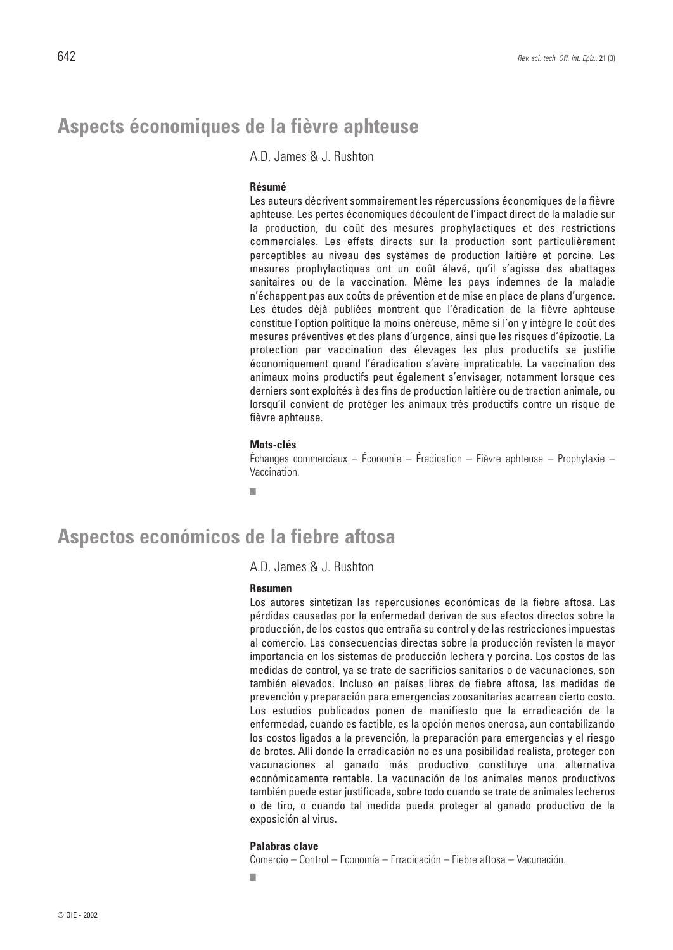### **Aspects économiques de la fièvre aphteuse**

A.D. James & J. Rushton

#### **Résumé**

Les auteurs décrivent sommairement les répercussions économiques de la fièvre aphteuse. Les pertes économiques découlent de l'impact direct de la maladie sur la production, du coût des mesures prophylactiques et des restrictions commerciales. Les effets directs sur la production sont particulièrement perceptibles au niveau des systèmes de production laitière et porcine. Les mesures prophylactiques ont un coût élevé, qu'il s'agisse des abattages sanitaires ou de la vaccination. Même les pays indemnes de la maladie n'échappent pas aux coûts de prévention et de mise en place de plans d'urgence. Les études déjà publiées montrent que l'éradication de la fièvre aphteuse constitue l'option politique la moins onéreuse, même si l'on y intègre le coût des mesures préventives et des plans d'urgence, ainsi que les risques d'épizootie. La protection par vaccination des élevages les plus productifs se justifie économiquement quand l'éradication s'avère impraticable. La vaccination des animaux moins productifs peut également s'envisager, notamment lorsque ces derniers sont exploités à des fins de production laitière ou de traction animale, ou lorsqu'il convient de protéger les animaux très productifs contre un risque de fièvre aphteuse.

#### **Mots-clés**

Échanges commerciaux – Économie – Éradication – Fièvre aphteuse – Prophylaxie – Vaccination.

■

### **Aspectos económicos de la fiebre aftosa**

A.D. James & J. Rushton

#### **Resumen**

Los autores sintetizan las repercusiones económicas de la fiebre aftosa. Las pérdidas causadas por la enfermedad derivan de sus efectos directos sobre la producción, de los costos que entraña su control y de las restricciones impuestas al comercio. Las consecuencias directas sobre la producción revisten la mayor importancia en los sistemas de producción lechera y porcina. Los costos de las medidas de control, ya se trate de sacrificios sanitarios o de vacunaciones, son también elevados. Incluso en países libres de fiebre aftosa, las medidas de prevención y preparación para emergencias zoosanitarias acarrean cierto costo. Los estudios publicados ponen de manifiesto que la erradicación de la enfermedad, cuando es factible, es la opción menos onerosa, aun contabilizando los costos ligados a la prevención, la preparación para emergencias y el riesgo de brotes. Allí donde la erradicación no es una posibilidad realista, proteger con vacunaciones al ganado más productivo constituye una alternativa económicamente rentable. La vacunación de los animales menos productivos también puede estar justificada, sobre todo cuando se trate de animales lecheros o de tiro, o cuando tal medida pueda proteger al ganado productivo de la exposición al virus.

#### **Palabras clave**

Comercio – Control – Economía – Erradicación – Fiebre aftosa – Vacunación.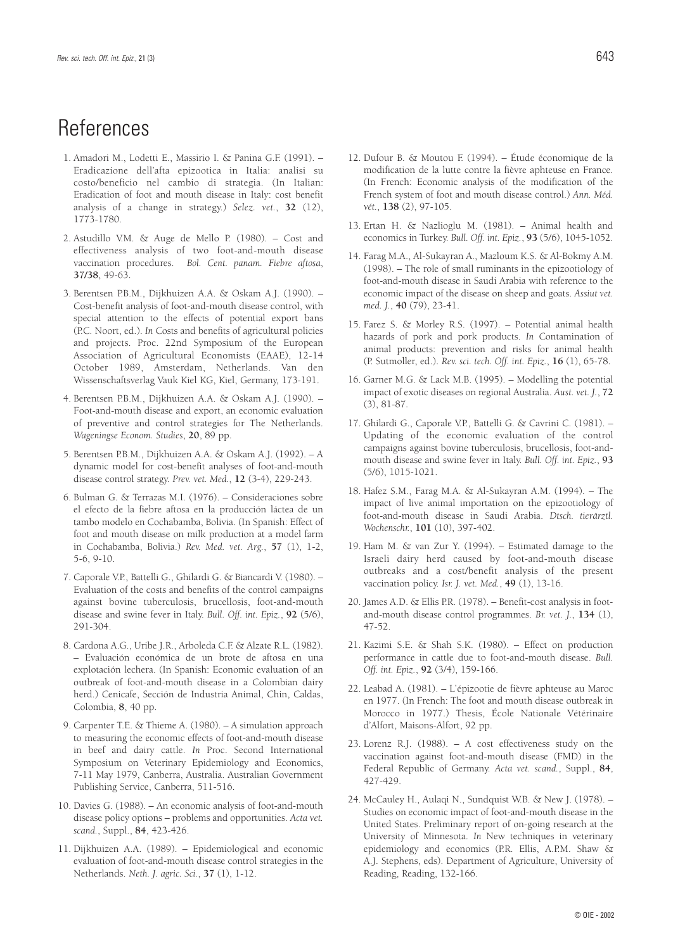## References

- 1. Amadori M., Lodetti E., Massirio I. & Panina G.F. (1991). Eradicazione dell'afta epizootica in Italia: analisi su costo/beneficio nel cambio di strategia. (In Italian: Eradication of foot and mouth disease in Italy: cost benefit analysis of a change in strategy.) *Selez. vet.*, **32** (12), 1773-1780.
- 2. Astudillo V.M. & Auge de Mello P. (1980). Cost and effectiveness analysis of two foot-and-mouth disease vaccination procedures. *Bol. Cent. panam. Fiebre aftosa*, **37/38**, 49-63.
- 3. Berentsen P.B.M., Dijkhuizen A.A. & Oskam A.J. (1990). Cost-benefit analysis of foot-and-mouth disease control, with special attention to the effects of potential export bans (P.C. Noort, ed.). *In* Costs and benefits of agricultural policies and projects. Proc. 22nd Symposium of the European Association of Agricultural Economists (EAAE), 12-14 October 1989, Amsterdam, Netherlands. Van den Wissenschaftsverlag Vauk Kiel KG, Kiel, Germany, 173-191.
- 4. Berentsen P.B.M., Dijkhuizen A.A. & Oskam A.J. (1990). Foot-and-mouth disease and export, an economic evaluation of preventive and control strategies for The Netherlands. *Wageningse Econom. Studies*, **20**, 89 pp.
- 5. Berentsen P.B.M., Dijkhuizen A.A. & Oskam A.J. (1992). A dynamic model for cost-benefit analyses of foot-and-mouth disease control strategy. *Prev. vet. Med.*, **12** (3-4), 229-243.
- 6. Bulman G. & Terrazas M.I. (1976). Consideraciones sobre el efecto de la fiebre aftosa en la producción láctea de un tambo modelo en Cochabamba, Bolivia. (In Spanish: Effect of foot and mouth disease on milk production at a model farm in Cochabamba, Bolivia.) *Rev. Med. vet. Arg.*, **57** (1), 1-2, 5-6, 9-10.
- 7. Caporale V.P., Battelli G., Ghilardi G. & Biancardi V. (1980). Evaluation of the costs and benefits of the control campaigns against bovine tuberculosis, brucellosis, foot-and-mouth disease and swine fever in Italy. *Bull. Off. int. Epiz.*, **92** (5/6), 291-304.
- 8. Cardona A.G., Uribe J.R., Arboleda C.F. & Alzate R.L. (1982). – Evaluación económica de un brote de aftosa en una explotación lechera. (In Spanish: Economic evaluation of an outbreak of foot-and-mouth disease in a Colombian dairy herd.) Cenicafe, Sección de Industria Animal, Chin, Caldas, Colombia, **8**, 40 pp.
- 9. Carpenter T.E. & Thieme A. (1980). A simulation approach to measuring the economic effects of foot-and-mouth disease in beef and dairy cattle. *In* Proc. Second International Symposium on Veterinary Epidemiology and Economics, 7-11 May 1979, Canberra, Australia. Australian Government Publishing Service, Canberra, 511-516.
- 10. Davies G. (1988). An economic analysis of foot-and-mouth disease policy options – problems and opportunities. *Acta vet. scand.*, Suppl., **84**, 423-426.
- 11. Dijkhuizen A.A. (1989). Epidemiological and economic evaluation of foot-and-mouth disease control strategies in the Netherlands. *Neth. J. agric. Sci.*, **37** (1), 1-12.
- 12. Dufour B. & Moutou F. (1994). Étude économique de la modification de la lutte contre la fièvre aphteuse en France. (In French: Economic analysis of the modification of the French system of foot and mouth disease control.) *Ann. Méd. vét.*, **138** (2), 97-105.
- 13. Ertan H. & Nazlioglu M. (1981). Animal health and economics in Turkey. *Bull. Off. int. Epiz.*, **93** (5/6), 1045-1052.
- 14. Farag M.A., Al-Sukayran A., Mazloum K.S. & Al-Bokmy A.M. (1998). – The role of small ruminants in the epizootiology of foot-and-mouth disease in Saudi Arabia with reference to the economic impact of the disease on sheep and goats. *Assiut vet. med. J.*, **40** (79), 23-41.
- 15. Farez S. & Morley R.S. (1997). Potential animal health hazards of pork and pork products. *In* Contamination of animal products: prevention and risks for animal health (P. Sutmoller, ed.). *Rev. sci. tech. Off. int. Epiz.*, **16** (1), 65-78.
- 16. Garner M.G. & Lack M.B. (1995). Modelling the potential impact of exotic diseases on regional Australia. *Aust. vet. J.*, **72** (3), 81-87.
- 17. Ghilardi G., Caporale V.P., Battelli G. & Cavrini C. (1981). Updating of the economic evaluation of the control campaigns against bovine tuberculosis, brucellosis, foot-andmouth disease and swine fever in Italy. *Bull. Off. int. Epiz.*, **93** (5/6), 1015-1021.
- 18. Hafez S.M., Farag M.A. & Al-Sukayran A.M. (1994). The impact of live animal importation on the epizootiology of foot-and-mouth disease in Saudi Arabia. *Dtsch. tierärztl. Wochenschr.*, **101** (10), 397-402.
- 19. Ham M. & van Zur Y. (1994). Estimated damage to the Israeli dairy herd caused by foot-and-mouth disease outbreaks and a cost/benefit analysis of the present vaccination policy. *Isr. J. vet. Med.*, **49** (1), 13-16.
- 20. James A.D. & Ellis P.R. (1978). Benefit-cost analysis in footand-mouth disease control programmes. *Br. vet. J.*, **134** (1), 47-52.
- 21. Kazimi S.E. & Shah S.K. (1980). Effect on production performance in cattle due to foot-and-mouth disease. *Bull. Off. int. Epiz.*, **92** (3/4), 159-166.
- 22. Leabad A. (1981). L'épizootie de fièvre aphteuse au Maroc en 1977. (In French: The foot and mouth disease outbreak in Morocco in 1977.) Thesis, École Nationale Vétérinaire d'Alfort, Maisons-Alfort, 92 pp.
- 23. Lorenz R.J. (1988). A cost effectiveness study on the vaccination against foot-and-mouth disease (FMD) in the Federal Republic of Germany. *Acta vet. scand.*, Suppl., **84**, 427-429.
- 24. McCauley H., Aulaqi N., Sundquist W.B. & New J. (1978). Studies on economic impact of foot-and-mouth disease in the United States. Preliminary report of on-going research at the University of Minnesota. *In* New techniques in veterinary epidemiology and economics (P.R. Ellis, A.P.M. Shaw & A.J. Stephens, eds). Department of Agriculture, University of Reading, Reading, 132-166.